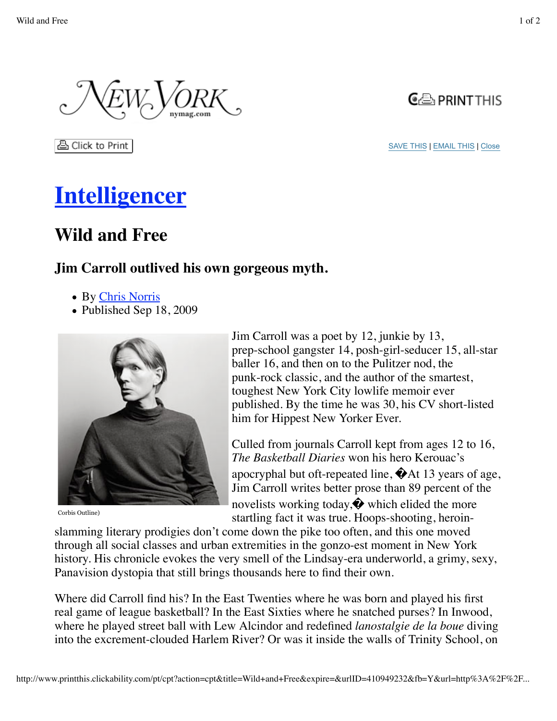

ਣੀ Click to Print

SAVE THIS | EMAIL THIS | Close

## **Intelligencer**

## **Wild and Free**

## **Jim Carroll outlived his own gorgeous myth.**

- By Chris Norris
- Published Sep 18, 2009



Corbis Outline)

Jim Carroll was a poet by 12, junkie by 13, prep-school gangster 14, posh-girl-seducer 15, all-star baller 16, and then on to the Pulitzer nod, the punk-rock classic, and the author of the smartest, toughest New York City lowlife memoir ever published. By the time he was 30, his CV short-listed him for Hippest New Yorker Ever.

Culled from journals Carroll kept from ages 12 to 16, *The Basketball Diaries* won his hero Kerouac's apocryphal but oft-repeated line,  $\bigcirc$ At 13 years of age, Jim Carroll writes better prose than 89 percent of the novelists working today,  $\bullet$  which elided the more startling fact it was true. Hoops-shooting, heroin-

slamming literary prodigies don't come down the pike too often, and this one moved through all social classes and urban extremities in the gonzo-est moment in New York history. His chronicle evokes the very smell of the Lindsay-era underworld, a grimy, sexy, Panavision dystopia that still brings thousands here to find their own.

Where did Carroll find his? In the East Twenties where he was born and played his first real game of league basketball? In the East Sixties where he snatched purses? In Inwood, where he played street ball with Lew Alcindor and redefined *lanostalgie de la boue* diving into the excrement-clouded Harlem River? Or was it inside the walls of Trinity School, on